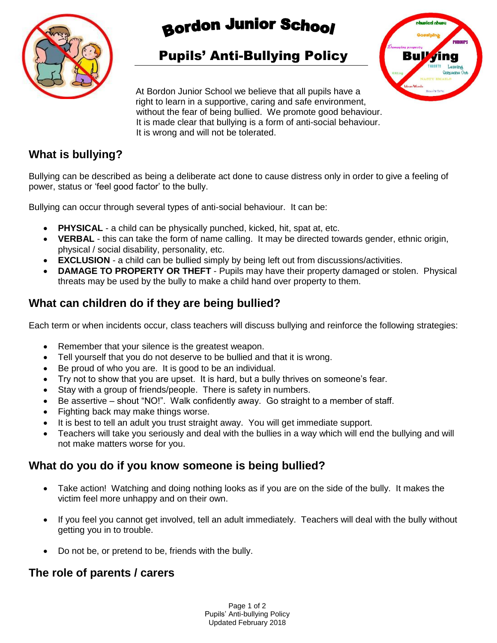

# **Bordon Junior School**

# Pupils' Anti-Bullying Policy



At Bordon Junior School we believe that all pupils have a right to learn in a supportive, caring and safe environment, without the fear of being bullied. We promote good behaviour. It is made clear that bullying is a form of anti-social behaviour. It is wrong and will not be tolerated.

#### **What is bullying?**

Bullying can be described as being a deliberate act done to cause distress only in order to give a feeling of power, status or 'feel good factor' to the bully.

Bullying can occur through several types of anti-social behaviour. It can be:

- **PHYSICAL** a child can be physically punched, kicked, hit, spat at, etc.
- **VERBAL** this can take the form of name calling. It may be directed towards gender, ethnic origin, physical / social disability, personality, etc.
- **EXCLUSION** a child can be bullied simply by being left out from discussions/activities.
- **DAMAGE TO PROPERTY OR THEFT** Pupils may have their property damaged or stolen. Physical threats may be used by the bully to make a child hand over property to them.

## **What can children do if they are being bullied?**

Each term or when incidents occur, class teachers will discuss bullying and reinforce the following strategies:

- Remember that your silence is the greatest weapon.
- Tell yourself that you do not deserve to be bullied and that it is wrong.
- Be proud of who you are. It is good to be an individual.
- Try not to show that you are upset. It is hard, but a bully thrives on someone's fear.
- Stay with a group of friends/people. There is safety in numbers.
- Be assertive shout "NO!". Walk confidently away. Go straight to a member of staff.
- Fighting back may make things worse.
- It is best to tell an adult you trust straight away. You will get immediate support.
- Teachers will take you seriously and deal with the bullies in a way which will end the bullying and will not make matters worse for you.

### **What do you do if you know someone is being bullied?**

- Take action! Watching and doing nothing looks as if you are on the side of the bully. It makes the victim feel more unhappy and on their own.
- If you feel you cannot get involved, tell an adult immediately. Teachers will deal with the bully without getting you in to trouble.
- Do not be, or pretend to be, friends with the bully.

#### **The role of parents / carers**